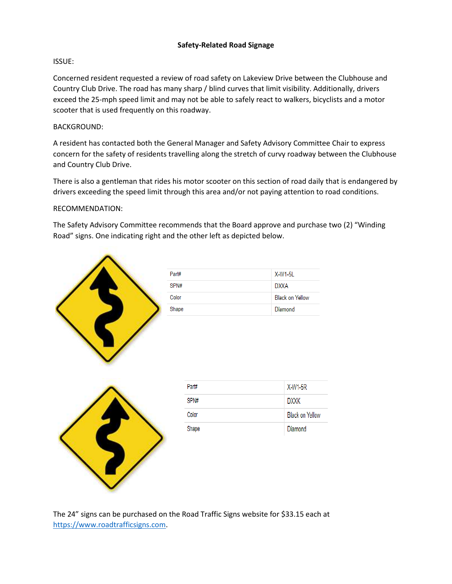# **Safety-Related Road Signage**

# ISSUE:

Concerned resident requested a review of road safety on Lakeview Drive between the Clubhouse and Country Club Drive. The road has many sharp / blind curves that limit visibility. Additionally, drivers exceed the 25-mph speed limit and may not be able to safely react to walkers, bicyclists and a motor scooter that is used frequently on this roadway.

## BACKGROUND:

A resident has contacted both the General Manager and Safety Advisory Committee Chair to express concern for the safety of residents travelling along the stretch of curvy roadway between the Clubhouse and Country Club Drive.

There is also a gentleman that rides his motor scooter on this section of road daily that is endangered by drivers exceeding the speed limit through this area and/or not paying attention to road conditions.

#### RECOMMENDATION:

The Safety Advisory Committee recommends that the Board approve and purchase two (2) "Winding Road" signs. One indicating right and the other left as depicted below.



The 24" signs can be purchased on the Road Traffic Signs website for \$33.15 each at [https://www.roadtrafficsigns.com.](https://www.roadtrafficsigns.com/)